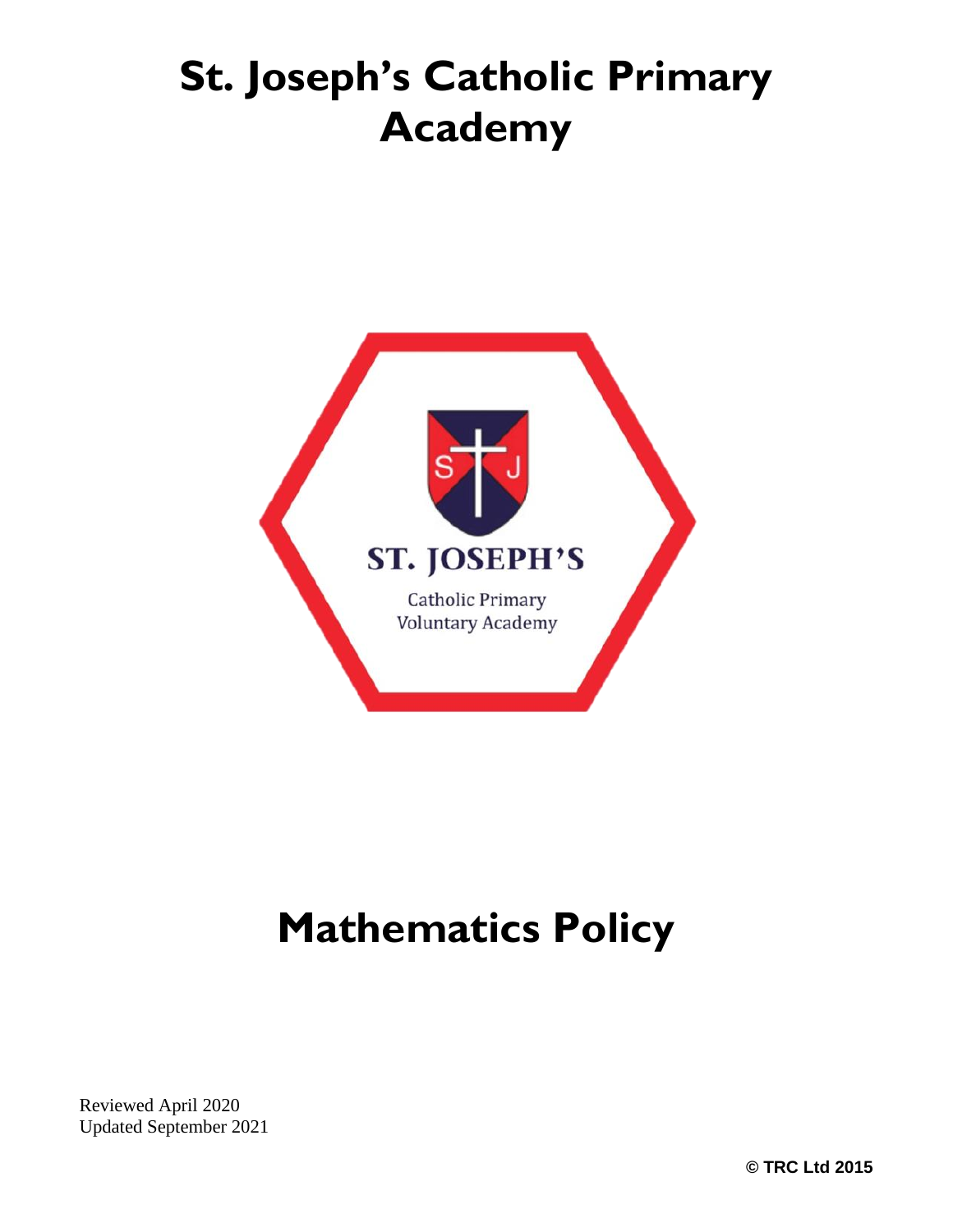

# **Mathematics Policy**

Reviewed April 2020 Updated September 2021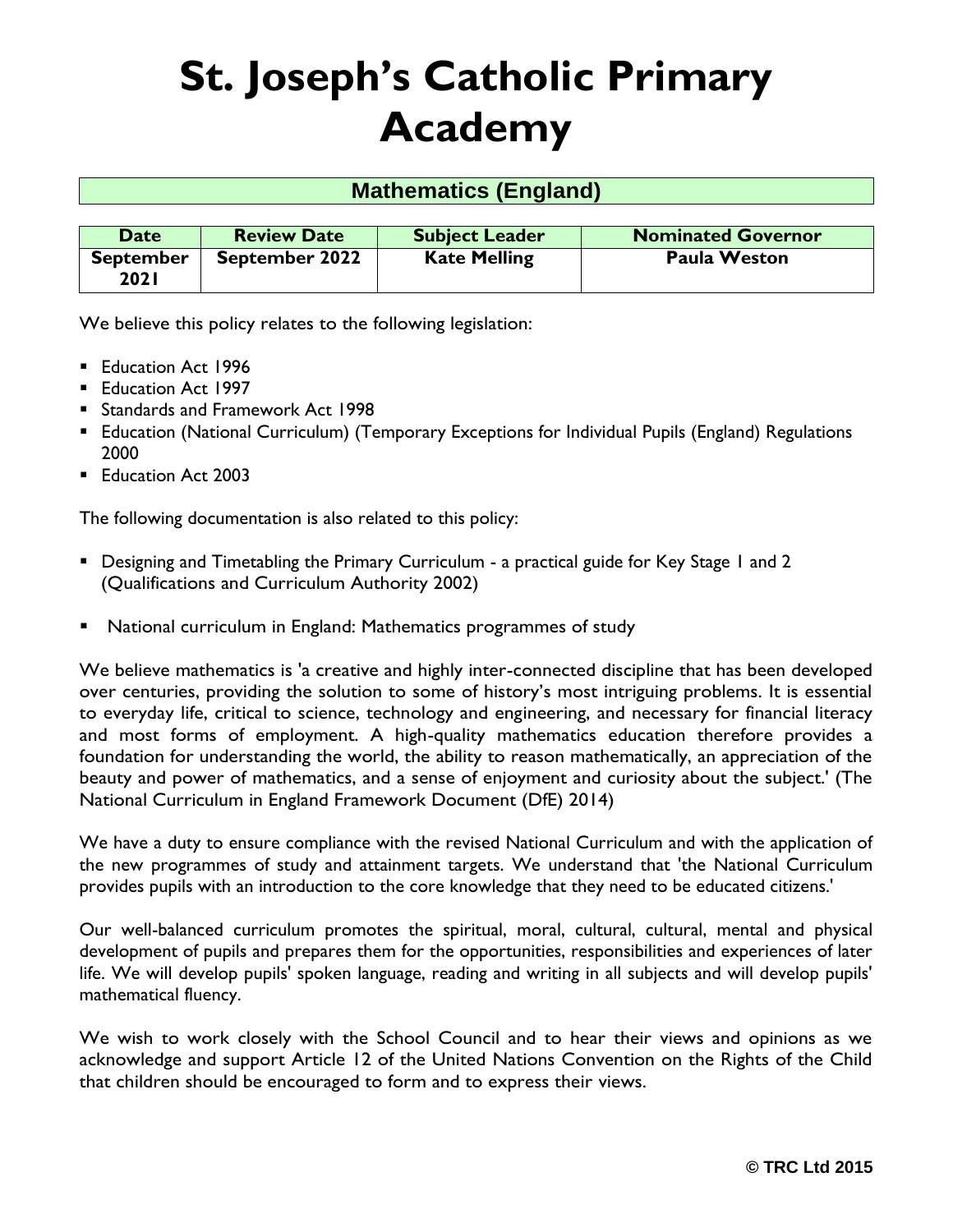### **Mathematics (England)**

| <b>Date</b>                     | <b>Review Date</b> | <b>Subject Leader</b> | <b>Nominated Governor</b> |
|---------------------------------|--------------------|-----------------------|---------------------------|
| <b>September</b><br><b>2021</b> | September 2022     | <b>Kate Melling</b>   | <b>Paula Weston</b>       |

We believe this policy relates to the following legislation:

- **Education Act 1996**
- **Education Act 1997**
- **Standards and Framework Act 1998**
- Education (National Curriculum) (Temporary Exceptions for Individual Pupils (England) Regulations 2000
- **Education Act 2003**

The following documentation is also related to this policy:

- Designing and Timetabling the Primary Curriculum a practical guide for Key Stage 1 and 2 (Qualifications and Curriculum Authority 2002)
- National curriculum in England: Mathematics programmes of study

We believe mathematics is 'a creative and highly inter-connected discipline that has been developed over centuries, providing the solution to some of history's most intriguing problems. It is essential to everyday life, critical to science, technology and engineering, and necessary for financial literacy and most forms of employment. A high-quality mathematics education therefore provides a foundation for understanding the world, the ability to reason mathematically, an appreciation of the beauty and power of mathematics, and a sense of enjoyment and curiosity about the subject.' (The National Curriculum in England Framework Document (DfE) 2014)

We have a duty to ensure compliance with the revised National Curriculum and with the application of the new programmes of study and attainment targets. We understand that 'the National Curriculum provides pupils with an introduction to the core knowledge that they need to be educated citizens.'

Our well-balanced curriculum promotes the spiritual, moral, cultural, cultural, mental and physical development of pupils and prepares them for the opportunities, responsibilities and experiences of later life. We will develop pupils' spoken language, reading and writing in all subjects and will develop pupils' mathematical fluency.

We wish to work closely with the School Council and to hear their views and opinions as we acknowledge and support Article 12 of the United Nations Convention on the Rights of the Child that children should be encouraged to form and to express their views.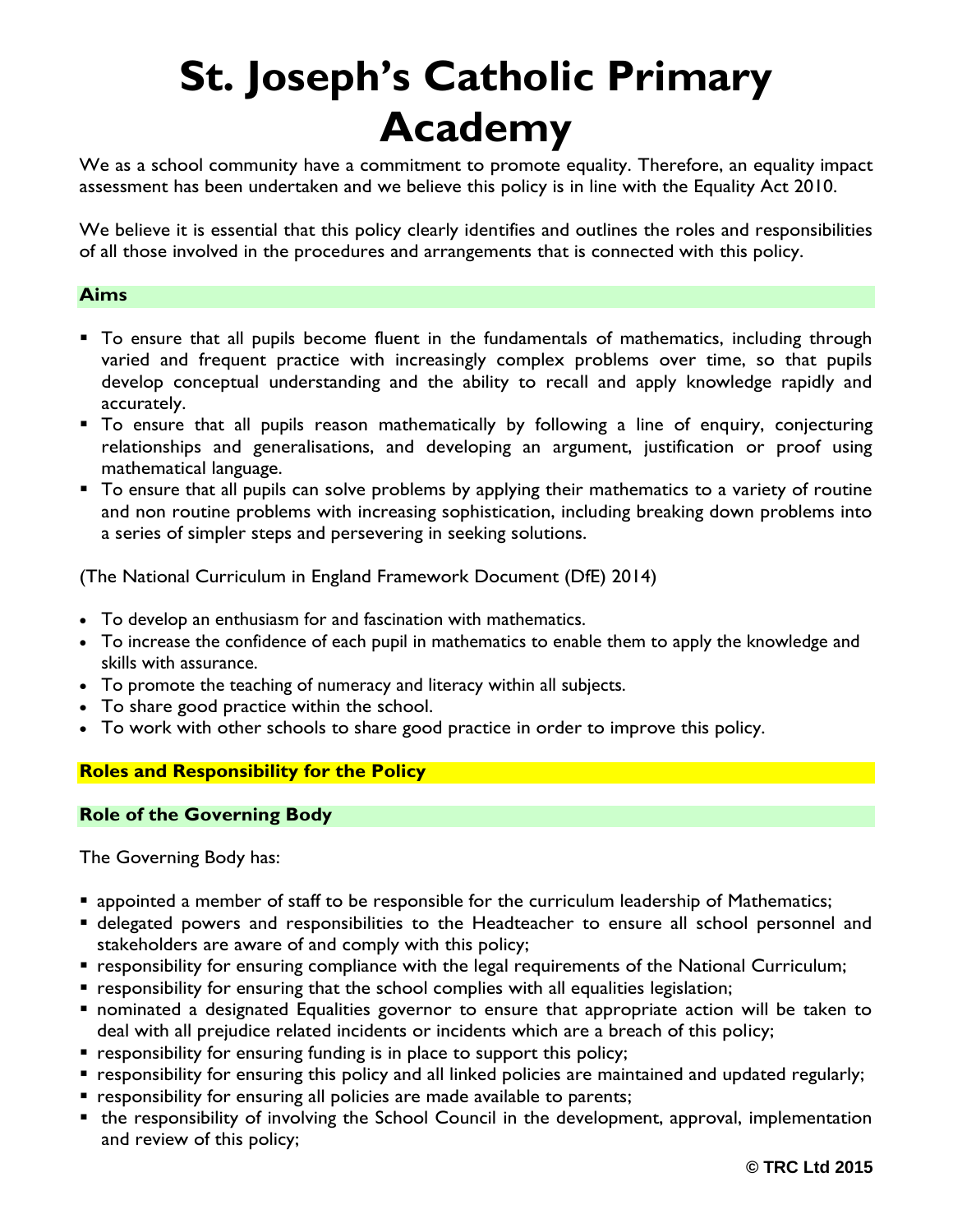We as a school community have a commitment to promote equality. Therefore, an equality impact assessment has been undertaken and we believe this policy is in line with the Equality Act 2010.

We believe it is essential that this policy clearly identifies and outlines the roles and responsibilities of all those involved in the procedures and arrangements that is connected with this policy.

### **Aims**

- To ensure that all pupils become fluent in the fundamentals of mathematics, including through varied and frequent practice with increasingly complex problems over time, so that pupils develop conceptual understanding and the ability to recall and apply knowledge rapidly and accurately.
- To ensure that all pupils reason mathematically by following a line of enquiry, conjecturing relationships and generalisations, and developing an argument, justification or proof using mathematical language.
- To ensure that all pupils can solve problems by applying their mathematics to a variety of routine and non routine problems with increasing sophistication, including breaking down problems into a series of simpler steps and persevering in seeking solutions.

(The National Curriculum in England Framework Document (DfE) 2014)

- To develop an enthusiasm for and fascination with mathematics.
- To increase the confidence of each pupil in mathematics to enable them to apply the knowledge and skills with assurance.
- To promote the teaching of numeracy and literacy within all subjects.
- To share good practice within the school.
- To work with other schools to share good practice in order to improve this policy.

### **Roles and Responsibility for the Policy**

### **Role of the Governing Body**

The Governing Body has:

- **E** appointed a member of staff to be responsible for the curriculum leadership of Mathematics;
- delegated powers and responsibilities to the Headteacher to ensure all school personnel and stakeholders are aware of and comply with this policy;
- **•** responsibility for ensuring compliance with the legal requirements of the National Curriculum;
- responsibility for ensuring that the school complies with all equalities legislation;
- nominated a designated Equalities governor to ensure that appropriate action will be taken to deal with all prejudice related incidents or incidents which are a breach of this policy;
- **•** responsibility for ensuring funding is in place to support this policy;
- responsibility for ensuring this policy and all linked policies are maintained and updated regularly;
- **•** responsibility for ensuring all policies are made available to parents;
- the responsibility of involving the School Council in the development, approval, implementation and review of this policy;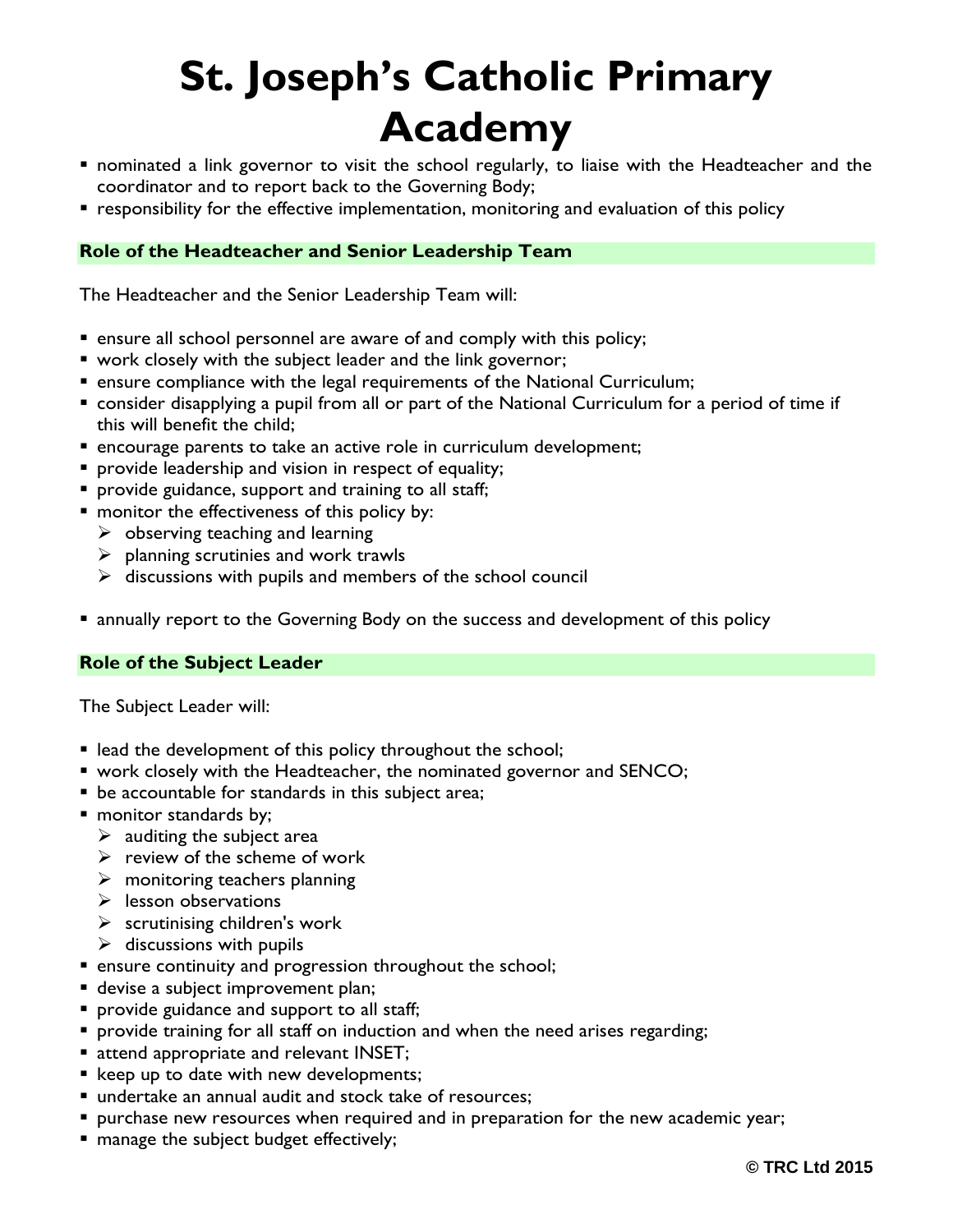- nominated a link governor to visit the school regularly, to liaise with the Headteacher and the coordinator and to report back to the Governing Body;
- responsibility for the effective implementation, monitoring and evaluation of this policy

### **Role of the Headteacher and Senior Leadership Team**

The Headteacher and the Senior Leadership Team will:

- ensure all school personnel are aware of and comply with this policy;
- work closely with the subject leader and the link governor;
- **EX EXEDERITH** ensure compliance with the legal requirements of the National Curriculum;
- consider disapplying a pupil from all or part of the National Curriculum for a period of time if this will benefit the child;
- encourage parents to take an active role in curriculum development;
- provide leadership and vision in respect of equality;
- **provide guidance, support and training to all staff;**
- **numbar 1** monitor the effectiveness of this policy by:
	- $\triangleright$  observing teaching and learning
	- $\triangleright$  planning scrutinies and work trawls
	- $\triangleright$  discussions with pupils and members of the school council
- annually report to the Governing Body on the success and development of this policy

#### **Role of the Subject Leader**

The Subject Leader will:

- **Example 1** lead the development of this policy throughout the school;
- work closely with the Headteacher, the nominated governor and SENCO;
- be accountable for standards in this subject area;
- **neta** monitor standards by;
	- $\triangleright$  auditing the subject area
	- $\triangleright$  review of the scheme of work
	- $\triangleright$  monitoring teachers planning
	- $\triangleright$  lesson observations
	- $\triangleright$  scrutinising children's work
	- $\triangleright$  discussions with pupils
- **E** ensure continuity and progression throughout the school;
- **devise a subject improvement plan;**
- **provide guidance and support to all staff;**
- **Perovide training for all staff on induction and when the need arises regarding;**
- attend appropriate and relevant INSET;
- keep up to date with new developments;
- undertake an annual audit and stock take of resources;
- **purchase new resources when required and in preparation for the new academic year;**
- **nanage the subject budget effectively;**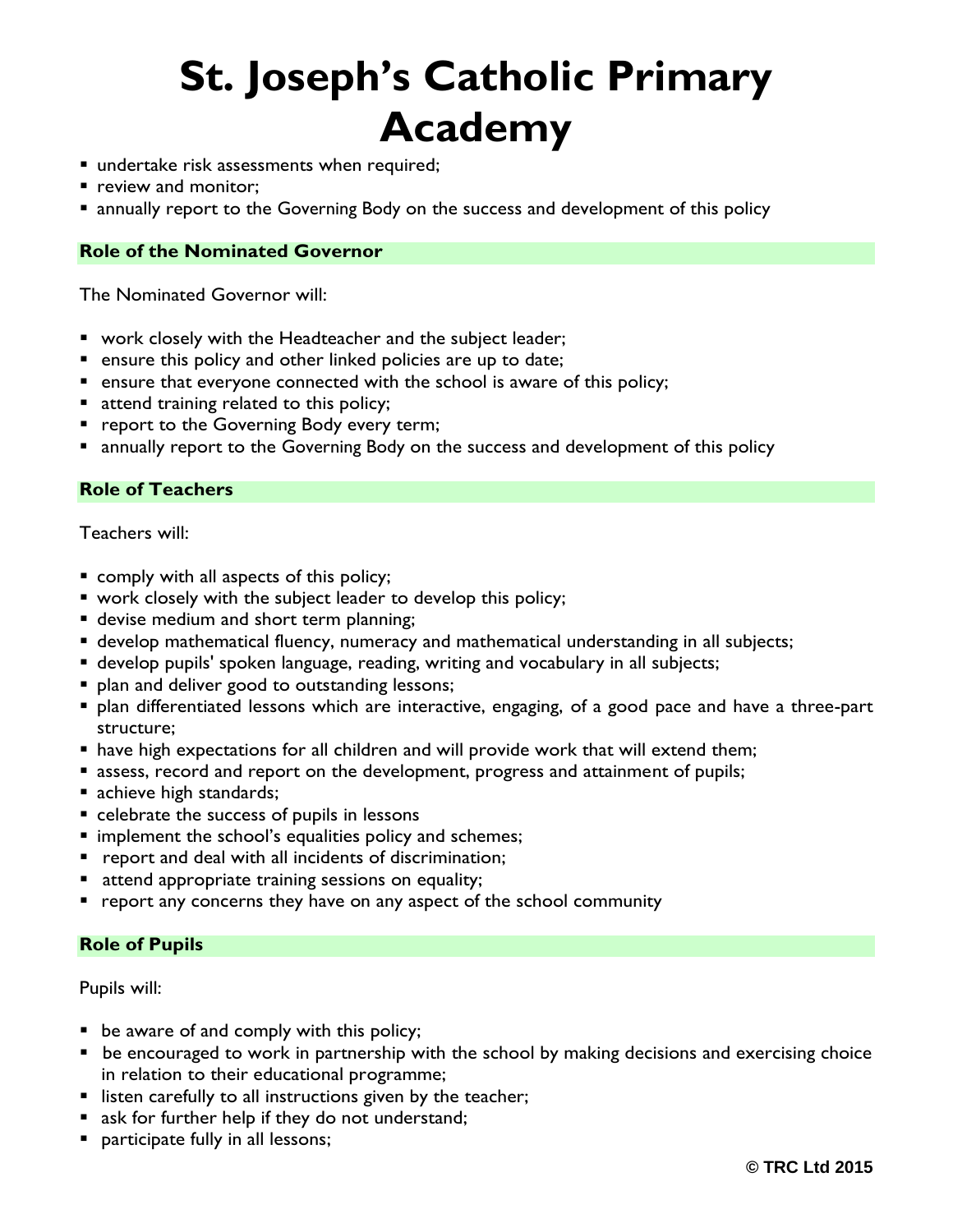- undertake risk assessments when required;
- **P** review and monitor;
- annually report to the Governing Body on the success and development of this policy

#### **Role of the Nominated Governor**

The Nominated Governor will:

- work closely with the Headteacher and the subject leader;
- **E** ensure this policy and other linked policies are up to date;
- $\blacksquare$  ensure that everyone connected with the school is aware of this policy;
- attend training related to this policy;
- **P** report to the Governing Body every term;
- annually report to the Governing Body on the success and development of this policy

#### **Role of Teachers**

### Teachers will:

- comply with all aspects of this policy;
- work closely with the subject leader to develop this policy;
- **devise medium and short term planning;**
- develop mathematical fluency, numeracy and mathematical understanding in all subjects;
- develop pupils' spoken language, reading, writing and vocabulary in all subjects;
- **plan and deliver good to outstanding lessons;**
- plan differentiated lessons which are interactive, engaging, of a good pace and have a three-part structure;
- have high expectations for all children and will provide work that will extend them;
- assess, record and report on the development, progress and attainment of pupils;
- achieve high standards;
- e celebrate the success of pupils in lessons
- **IF** implement the school's equalities policy and schemes;
- **P** report and deal with all incidents of discrimination;
- **E** attend appropriate training sessions on equality;
- **P** report any concerns they have on any aspect of the school community

### **Role of Pupils**

#### Pupils will:

- **•** be aware of and comply with this policy;
- **•** be encouraged to work in partnership with the school by making decisions and exercising choice in relation to their educational programme;
- **I** listen carefully to all instructions given by the teacher;
- ask for further help if they do not understand;
- **P** participate fully in all lessons;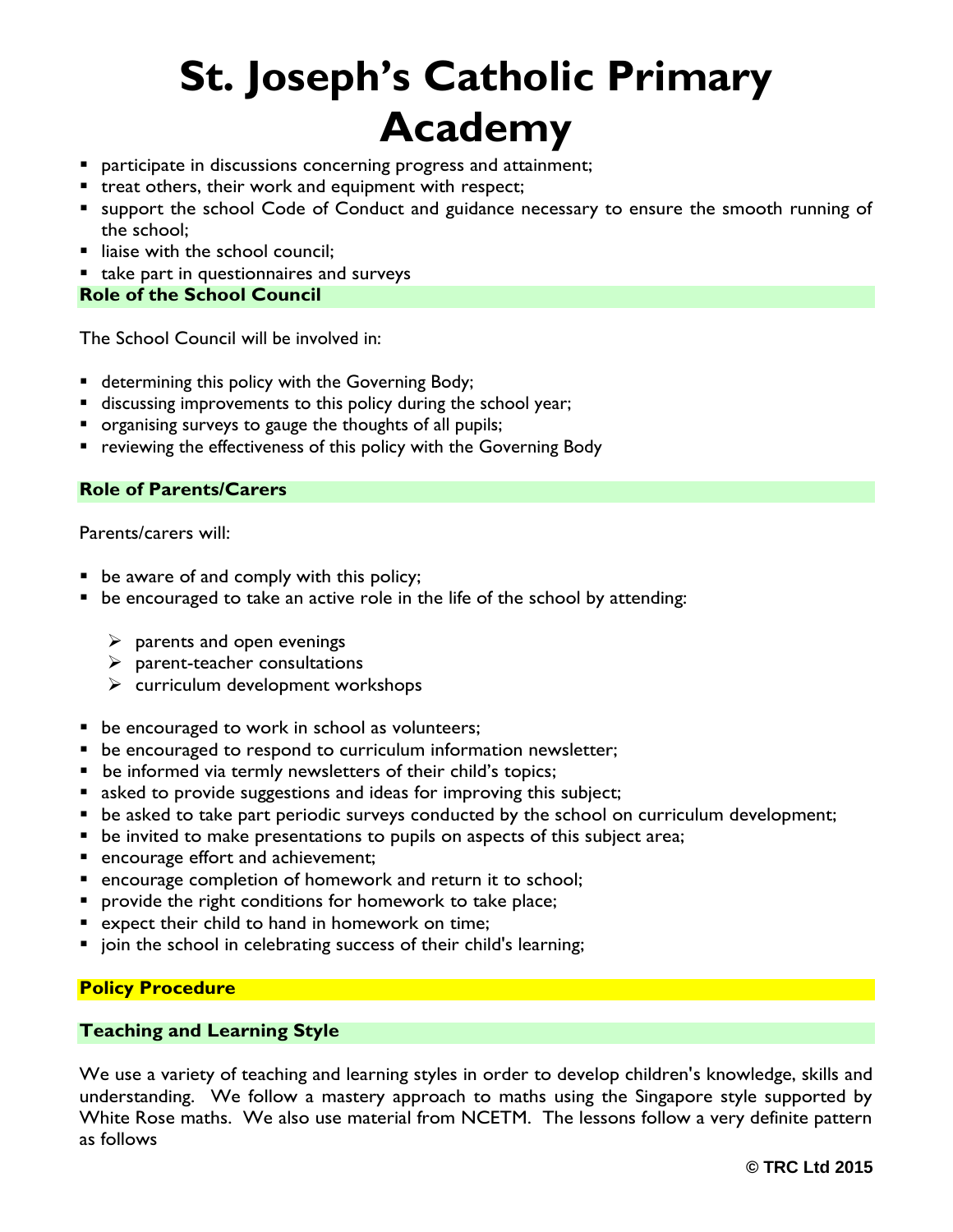- **Perage 1** participate in discussions concerning progress and attainment;
- **treat others, their work and equipment with respect;**
- support the school Code of Conduct and guidance necessary to ensure the smooth running of the school;
- liaise with the school council;
- take part in questionnaires and surveys

#### **Role of the School Council**

The School Council will be involved in:

- **determining this policy with the Governing Body;**
- **discussing improvements to this policy during the school year;**
- organising surveys to gauge the thoughts of all pupils;
- **•** reviewing the effectiveness of this policy with the Governing Body

#### **Role of Parents/Carers**

Parents/carers will:

- **be aware of and comply with this policy;**
- **•** be encouraged to take an active role in the life of the school by attending:
	- $\triangleright$  parents and open evenings
	- $\triangleright$  parent-teacher consultations
	- $\triangleright$  curriculum development workshops
- **•** be encouraged to work in school as volunteers;
- be encouraged to respond to curriculum information newsletter;
- be informed via termly newsletters of their child's topics;
- asked to provide suggestions and ideas for improving this subject;
- **•** be asked to take part periodic surveys conducted by the school on curriculum development;
- **be invited to make presentations to pupils on aspects of this subject area;**
- encourage effort and achievement;
- **EXT** encourage completion of homework and return it to school;
- **Perovide the right conditions for homework to take place;**
- **E** expect their child to hand in homework on time;
- join the school in celebrating success of their child's learning;

### **Policy Procedure**

#### **Teaching and Learning Style**

We use a variety of teaching and learning styles in order to develop children's knowledge, skills and understanding. We follow a mastery approach to maths using the Singapore style supported by White Rose maths. We also use material from NCETM. The lessons follow a very definite pattern as follows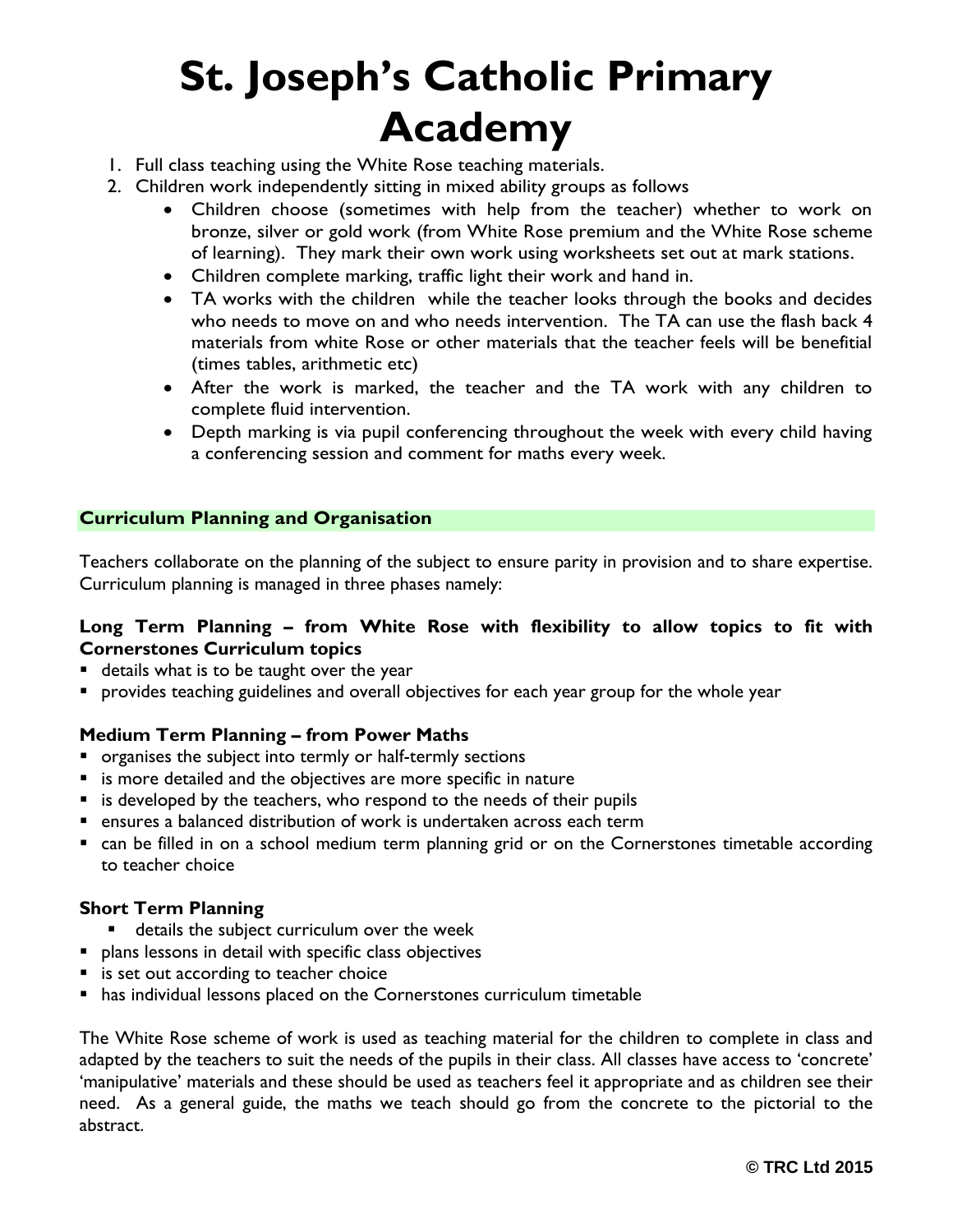- 1. Full class teaching using the White Rose teaching materials.
- 2. Children work independently sitting in mixed ability groups as follows
	- Children choose (sometimes with help from the teacher) whether to work on bronze, silver or gold work (from White Rose premium and the White Rose scheme of learning). They mark their own work using worksheets set out at mark stations.
	- Children complete marking, traffic light their work and hand in.
	- TA works with the children while the teacher looks through the books and decides who needs to move on and who needs intervention. The TA can use the flash back 4 materials from white Rose or other materials that the teacher feels will be benefitial (times tables, arithmetic etc)
	- After the work is marked, the teacher and the TA work with any children to complete fluid intervention.
	- Depth marking is via pupil conferencing throughout the week with every child having a conferencing session and comment for maths every week.

### **Curriculum Planning and Organisation**

Teachers collaborate on the planning of the subject to ensure parity in provision and to share expertise. Curriculum planning is managed in three phases namely:

### **Long Term Planning – from White Rose with flexibility to allow topics to fit with Cornerstones Curriculum topics**

- **details what is to be taught over the year**
- **Perovides teaching guidelines and overall objectives for each year group for the whole year**

### **Medium Term Planning – from Power Maths**

- organises the subject into termly or half-termly sections
- **E** is more detailed and the objectives are more specific in nature
- $\blacksquare$  is developed by the teachers, who respond to the needs of their pupils
- ensures a balanced distribution of work is undertaken across each term
- can be filled in on a school medium term planning grid or on the Cornerstones timetable according to teacher choice

### **Short Term Planning**

- **details the subject curriculum over the week**
- **Permion I** plans lessons in detail with specific class objectives
- is set out according to teacher choice
- has individual lessons placed on the Cornerstones curriculum timetable

The White Rose scheme of work is used as teaching material for the children to complete in class and adapted by the teachers to suit the needs of the pupils in their class. All classes have access to 'concrete' 'manipulative' materials and these should be used as teachers feel it appropriate and as children see their need. As a general guide, the maths we teach should go from the concrete to the pictorial to the abstract.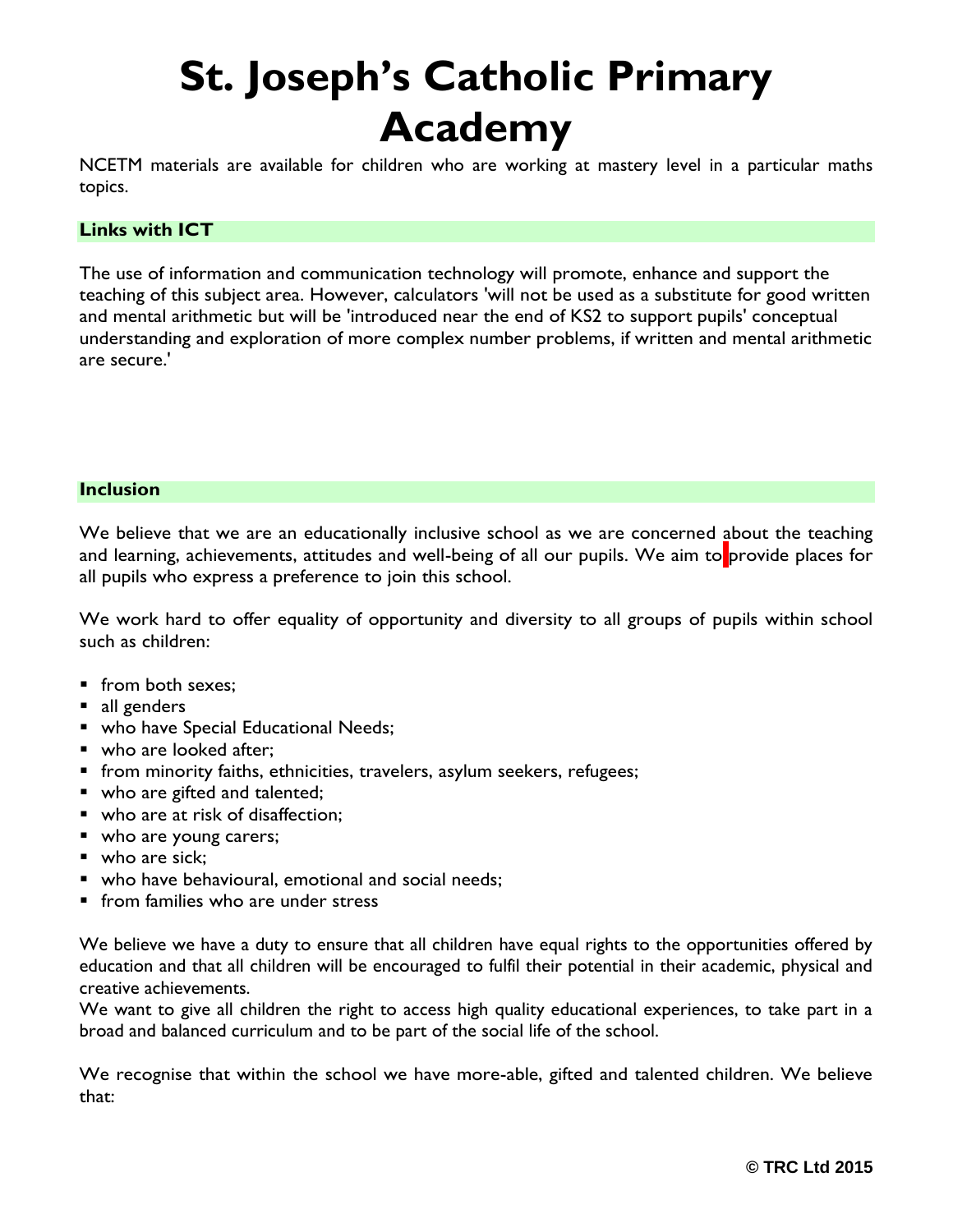NCETM materials are available for children who are working at mastery level in a particular maths topics.

#### **Links with ICT**

The use of information and communication technology will promote, enhance and support the teaching of this subject area. However, calculators 'will not be used as a substitute for good written and mental arithmetic but will be 'introduced near the end of KS2 to support pupils' conceptual understanding and exploration of more complex number problems, if written and mental arithmetic are secure.'

#### **Inclusion**

We believe that we are an educationally inclusive school as we are concerned about the teaching and learning, achievements, attitudes and well-being of all our pupils. We aim to provide places for all pupils who express a preference to join this school.

We work hard to offer equality of opportunity and diversity to all groups of pupils within school such as children:

- **from both sexes:**
- all genders
- **who have Special Educational Needs;**
- who are looked after:
- from minority faiths, ethnicities, travelers, asylum seekers, refugees;
- who are gifted and talented;
- who are at risk of disaffection;
- who are young carers;
- who are sick;
- who have behavioural, emotional and social needs;
- $\blacksquare$  from families who are under stress

We believe we have a duty to ensure that all children have equal rights to the opportunities offered by education and that all children will be encouraged to fulfil their potential in their academic, physical and creative achievements.

We want to give all children the right to access high quality educational experiences, to take part in a broad and balanced curriculum and to be part of the social life of the school.

We recognise that within the school we have more-able, gifted and talented children. We believe that: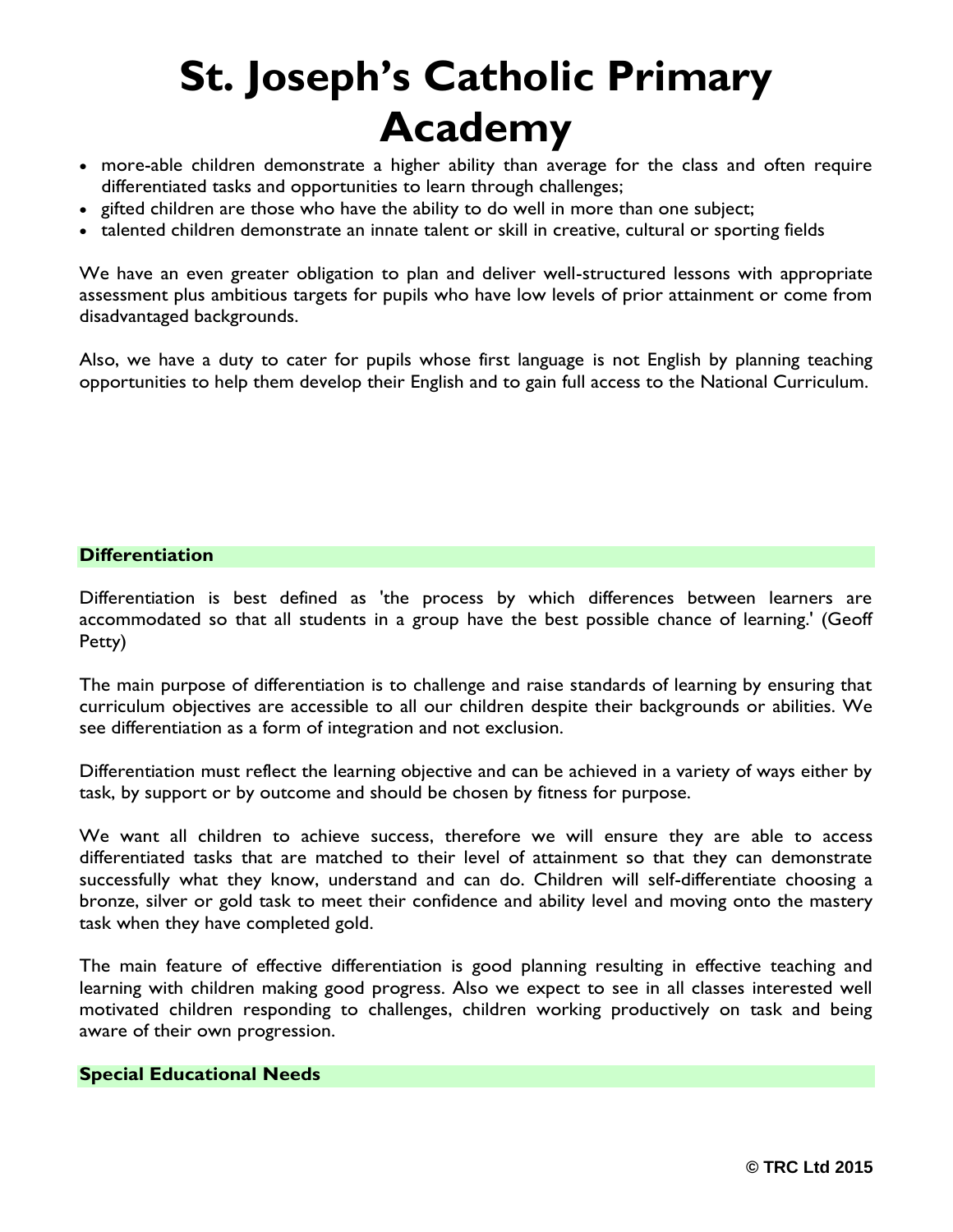- more-able children demonstrate a higher ability than average for the class and often require differentiated tasks and opportunities to learn through challenges;
- gifted children are those who have the ability to do well in more than one subject;
- talented children demonstrate an innate talent or skill in creative, cultural or sporting fields

We have an even greater obligation to plan and deliver well-structured lessons with appropriate assessment plus ambitious targets for pupils who have low levels of prior attainment or come from disadvantaged backgrounds.

Also, we have a duty to cater for pupils whose first language is not English by planning teaching opportunities to help them develop their English and to gain full access to the National Curriculum.

#### **Differentiation**

Differentiation is best defined as 'the process by which differences between learners are accommodated so that all students in a group have the best possible chance of learning.' (Geoff Petty)

The main purpose of differentiation is to challenge and raise standards of learning by ensuring that curriculum objectives are accessible to all our children despite their backgrounds or abilities. We see differentiation as a form of integration and not exclusion.

Differentiation must reflect the learning objective and can be achieved in a variety of ways either by task, by support or by outcome and should be chosen by fitness for purpose.

We want all children to achieve success, therefore we will ensure they are able to access differentiated tasks that are matched to their level of attainment so that they can demonstrate successfully what they know, understand and can do. Children will self-differentiate choosing a bronze, silver or gold task to meet their confidence and ability level and moving onto the mastery task when they have completed gold.

The main feature of effective differentiation is good planning resulting in effective teaching and learning with children making good progress. Also we expect to see in all classes interested well motivated children responding to challenges, children working productively on task and being aware of their own progression.

### **Special Educational Needs**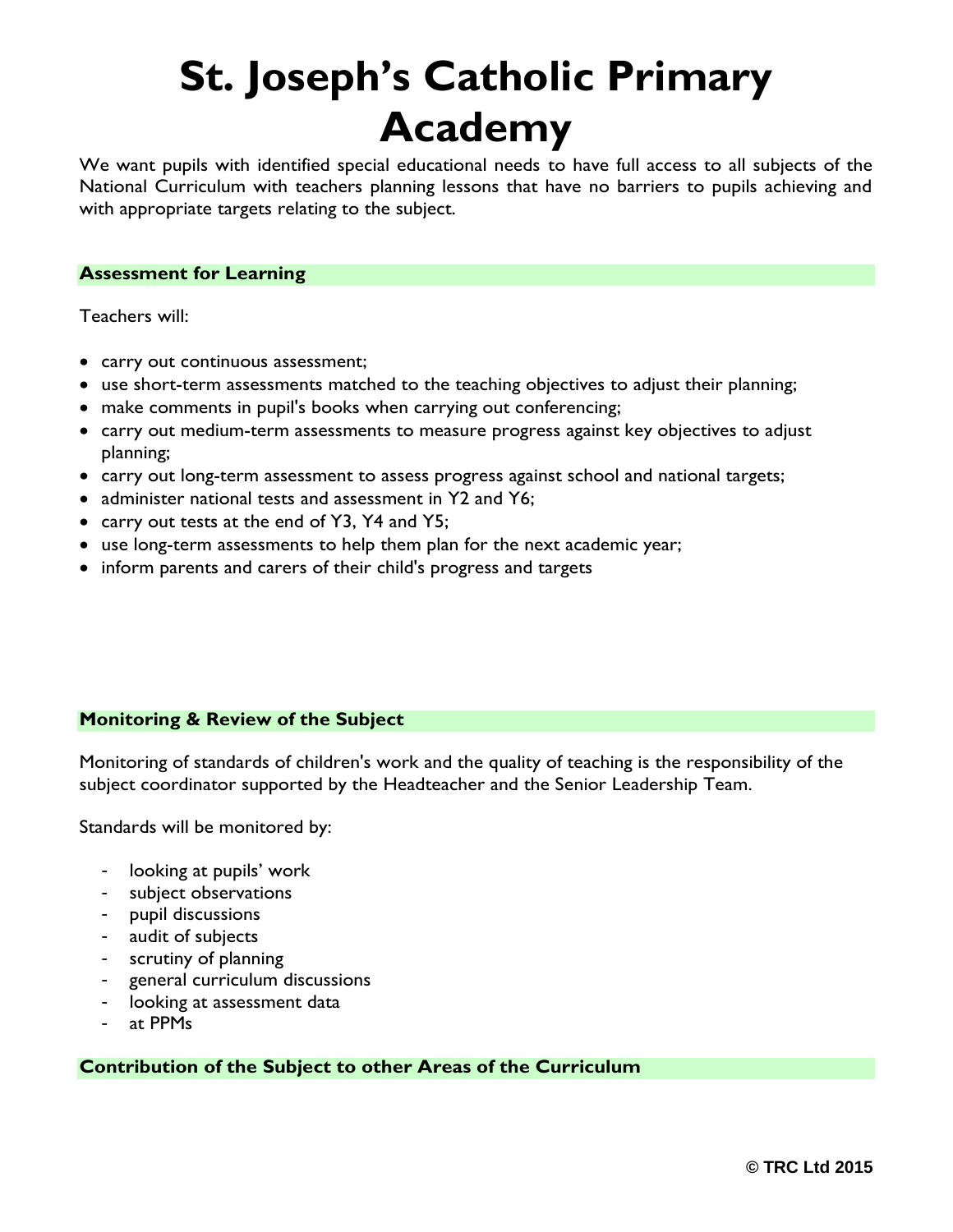We want pupils with identified special educational needs to have full access to all subjects of the National Curriculum with teachers planning lessons that have no barriers to pupils achieving and with appropriate targets relating to the subject.

### **Assessment for Learning**

Teachers will:

- carry out continuous assessment;
- use short-term assessments matched to the teaching objectives to adjust their planning;
- make comments in pupil's books when carrying out conferencing;
- carry out medium-term assessments to measure progress against key objectives to adjust planning;
- carry out long-term assessment to assess progress against school and national targets;
- administer national tests and assessment in Y2 and Y6;
- carry out tests at the end of Y3, Y4 and Y5;
- use long-term assessments to help them plan for the next academic year;
- inform parents and carers of their child's progress and targets

### **Monitoring & Review of the Subject**

Monitoring of standards of children's work and the quality of teaching is the responsibility of the subject coordinator supported by the Headteacher and the Senior Leadership Team.

Standards will be monitored by:

- looking at pupils' work
- subject observations
- pupil discussions
- audit of subjects
- scrutiny of planning
- general curriculum discussions
- looking at assessment data
- at PPMs

#### **Contribution of the Subject to other Areas of the Curriculum**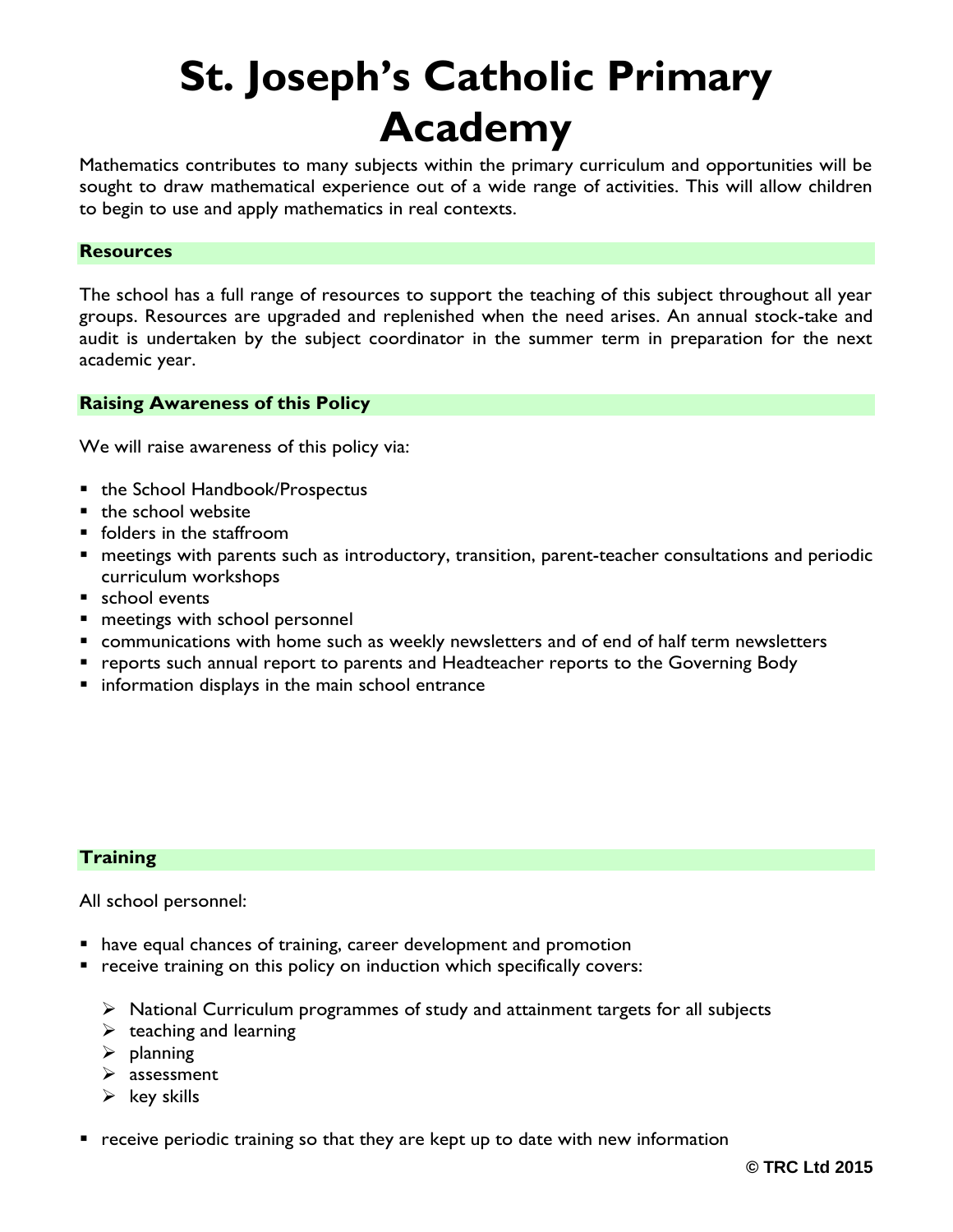Mathematics contributes to many subjects within the primary curriculum and opportunities will be sought to draw mathematical experience out of a wide range of activities. This will allow children to begin to use and apply mathematics in real contexts.

#### **Resources**

The school has a full range of resources to support the teaching of this subject throughout all year groups. Resources are upgraded and replenished when the need arises. An annual stock-take and audit is undertaken by the subject coordinator in the summer term in preparation for the next academic year.

#### **Raising Awareness of this Policy**

We will raise awareness of this policy via:

- the School Handbook/Prospectus
- the school website
- **fielders in the staffroom**
- meetings with parents such as introductory, transition, parent-teacher consultations and periodic curriculum workshops
- school events
- **n** meetings with school personnel
- communications with home such as weekly newsletters and of end of half term newsletters
- **•** reports such annual report to parents and Headteacher reports to the Governing Body
- $\blacksquare$  information displays in the main school entrance

#### **Training**

All school personnel:

- have equal chances of training, career development and promotion
- **•** receive training on this policy on induction which specifically covers:
	- $\triangleright$  National Curriculum programmes of study and attainment targets for all subjects
	- $\triangleright$  teaching and learning
	- $\triangleright$  planning
	- $\triangleright$  assessment
	- $\triangleright$  key skills
- **•** receive periodic training so that they are kept up to date with new information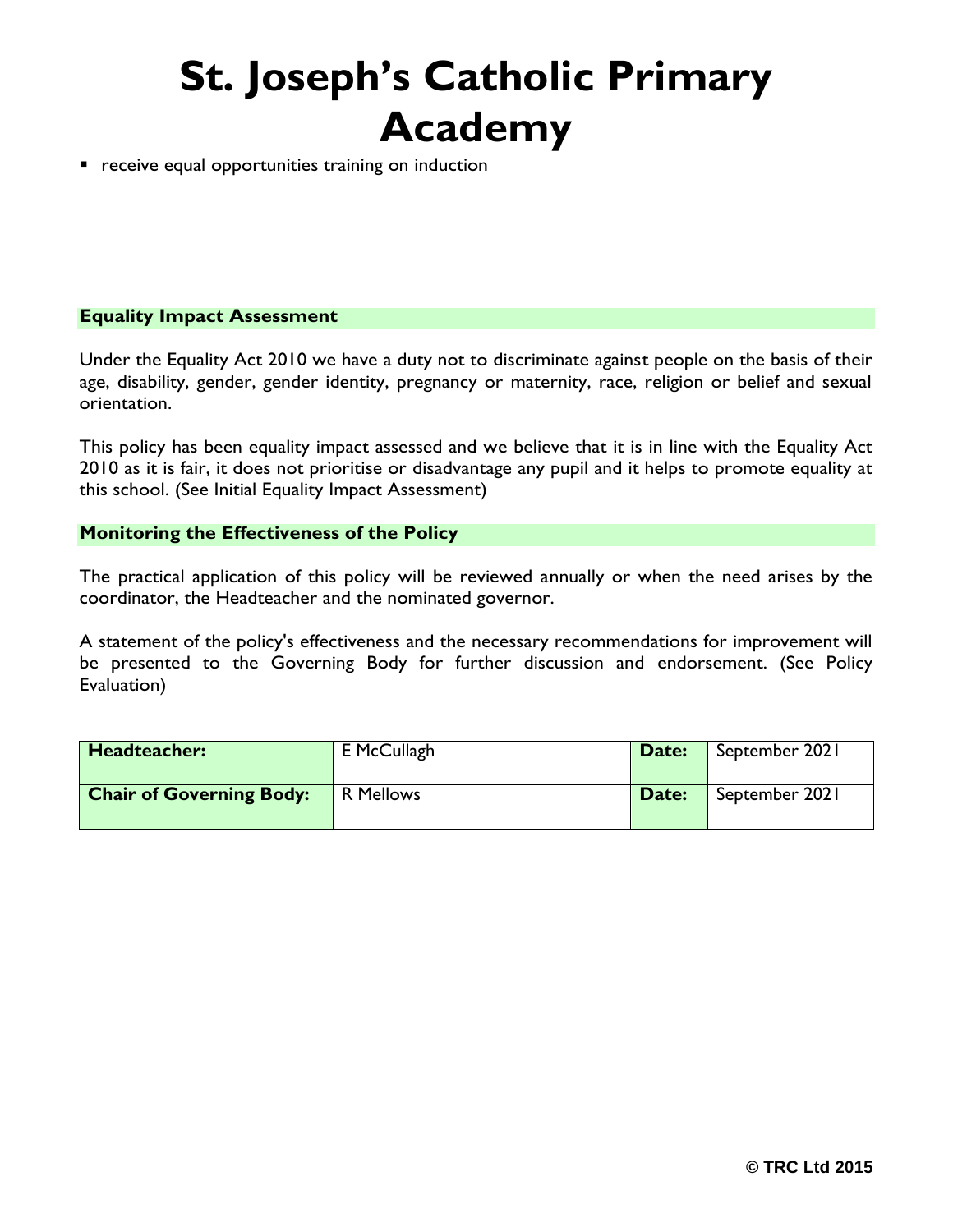**•** receive equal opportunities training on induction

### **Equality Impact Assessment**

Under the Equality Act 2010 we have a duty not to discriminate against people on the basis of their age, disability, gender, gender identity, pregnancy or maternity, race, religion or belief and sexual orientation.

This policy has been equality impact assessed and we believe that it is in line with the Equality Act 2010 as it is fair, it does not prioritise or disadvantage any pupil and it helps to promote equality at this school. (See Initial Equality Impact Assessment)

### **Monitoring the Effectiveness of the Policy**

The practical application of this policy will be reviewed annually or when the need arises by the coordinator, the Headteacher and the nominated governor.

A statement of the policy's effectiveness and the necessary recommendations for improvement will be presented to the Governing Body for further discussion and endorsement. (See Policy Evaluation)

| Headteacher:                    | E McCullagh      | Date: | September 2021 |
|---------------------------------|------------------|-------|----------------|
| <b>Chair of Governing Body:</b> | <b>R</b> Mellows | Date: | September 2021 |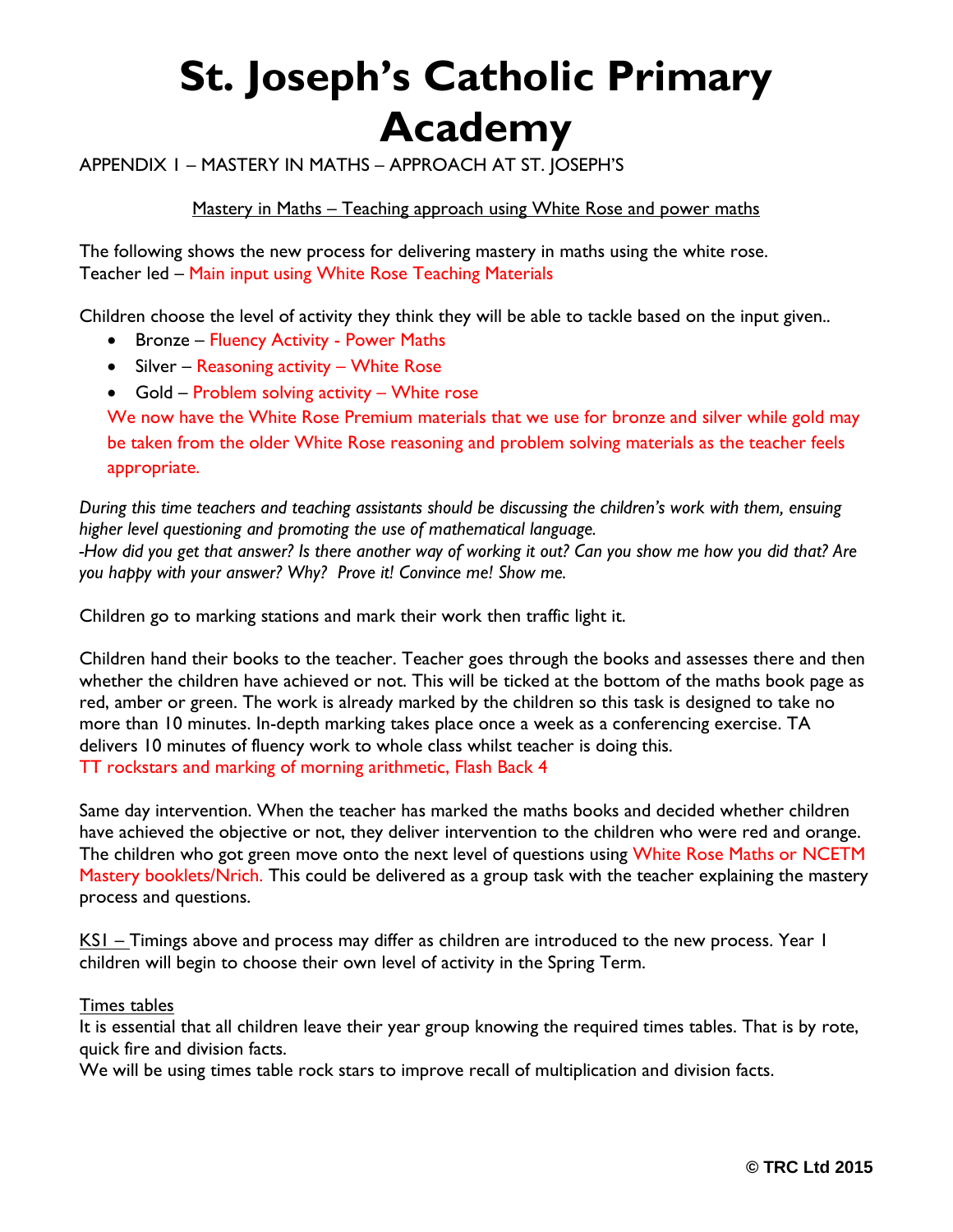APPENDIX 1 – MASTERY IN MATHS – APPROACH AT ST. JOSEPH'S

Mastery in Maths – Teaching approach using White Rose and power maths

The following shows the new process for delivering mastery in maths using the white rose. Teacher led – Main input using White Rose Teaching Materials

Children choose the level of activity they think they will be able to tackle based on the input given..

- Bronze Fluency Activity Power Maths
- $\bullet$  Silver Reasoning activity White Rose
- Gold Problem solving activity White rose

We now have the White Rose Premium materials that we use for bronze and silver while gold may be taken from the older White Rose reasoning and problem solving materials as the teacher feels appropriate.

*During this time teachers and teaching assistants should be discussing the children's work with them, ensuing higher level questioning and promoting the use of mathematical language. -How did you get that answer? Is there another way of working it out? Can you show me how you did that? Are you happy with your answer? Why? Prove it! Convince me! Show me.*

Children go to marking stations and mark their work then traffic light it.

Children hand their books to the teacher. Teacher goes through the books and assesses there and then whether the children have achieved or not. This will be ticked at the bottom of the maths book page as red, amber or green. The work is already marked by the children so this task is designed to take no more than 10 minutes. In-depth marking takes place once a week as a conferencing exercise. TA delivers 10 minutes of fluency work to whole class whilst teacher is doing this. TT rockstars and marking of morning arithmetic, Flash Back 4

Same day intervention. When the teacher has marked the maths books and decided whether children have achieved the objective or not, they deliver intervention to the children who were red and orange. The children who got green move onto the next level of questions using White Rose Maths or NCETM Mastery booklets/Nrich. This could be delivered as a group task with the teacher explaining the mastery process and questions.

KS1 – Timings above and process may differ as children are introduced to the new process. Year 1 children will begin to choose their own level of activity in the Spring Term.

### Times tables

It is essential that all children leave their year group knowing the required times tables. That is by rote, quick fire and division facts.

We will be using times table rock stars to improve recall of multiplication and division facts.